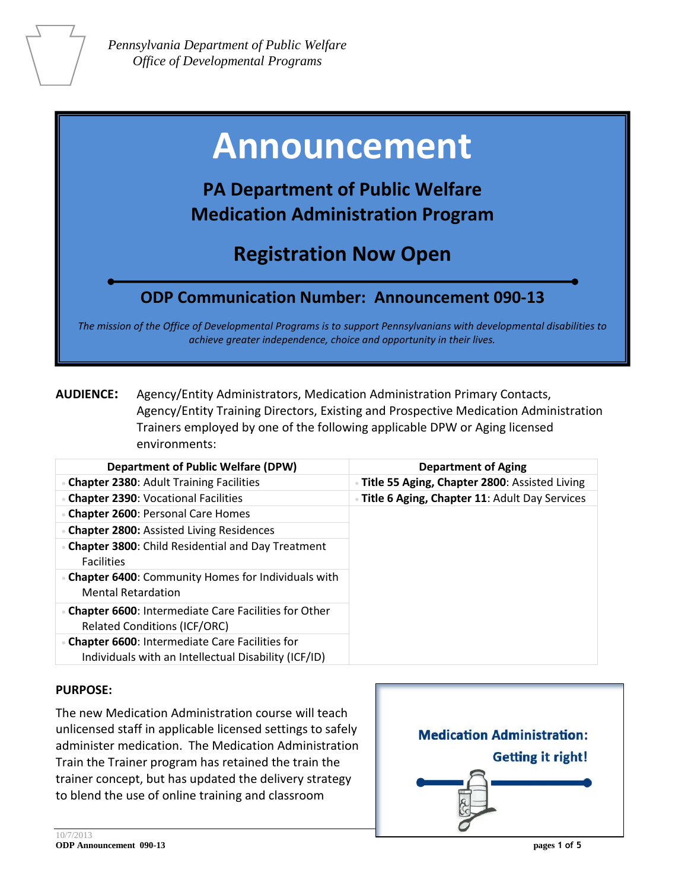# **Announcement**

## **PA Department of Public Welfare Medication Administration Program**

## **Registration Now Open**

### **ODP Communication Number: Announcement 090-13**

*The mission of the Office of Developmental Programs is to support Pennsylvanians with developmental disabilities to achieve greater independence, choice and opportunity in their lives.*

**AUDIENCE:** Agency/Entity Administrators, Medication Administration Primary Contacts, Agency/Entity Training Directors, Existing and Prospective Medication Administration Trainers employed by one of the following applicable DPW or Aging licensed environments:

| <b>Department of Public Welfare (DPW)</b>                                                                | <b>Department of Aging</b>                      |
|----------------------------------------------------------------------------------------------------------|-------------------------------------------------|
| • Chapter 2380: Adult Training Facilities                                                                | · Title 55 Aging, Chapter 2800: Assisted Living |
| <b>Chapter 2390: Vocational Facilities</b>                                                               | Title 6 Aging, Chapter 11: Adult Day Services   |
| <b>Chapter 2600: Personal Care Homes</b>                                                                 |                                                 |
| • Chapter 2800: Assisted Living Residences                                                               |                                                 |
| • Chapter 3800: Child Residential and Day Treatment<br><b>Facilities</b>                                 |                                                 |
| • Chapter 6400: Community Homes for Individuals with<br><b>Mental Retardation</b>                        |                                                 |
| • Chapter 6600: Intermediate Care Facilities for Other<br><b>Related Conditions (ICF/ORC)</b>            |                                                 |
| • Chapter 6600: Intermediate Care Facilities for<br>Individuals with an Intellectual Disability (ICF/ID) |                                                 |

#### **PURPOSE:**

The new Medication Administration course will teach unlicensed staff in applicable licensed settings to safely administer medication. The Medication Administration Train the Trainer program has retained the train the trainer concept, but has updated the delivery strategy to blend the use of online training and classroom

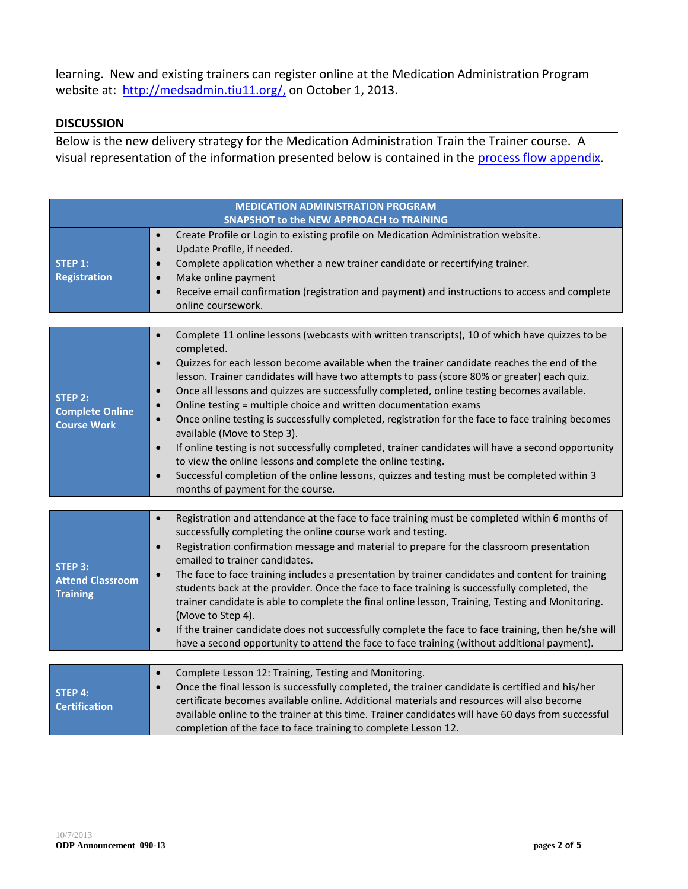learning. New and existing trainers can register online at the Medication Administration Program website at: [http://medsadmin.tiu11.org/,](http://medsadmin.tiu11.org/) on October 1, 2013.

#### **DISCUSSION**

Below is the new delivery strategy for the Medication Administration Train the Trainer course. A visual representation of the information presented below is contained in the [process flow](http://documents.odpconsulting.net/alfresco/d/d/workspace/SpacesStore/274d9ea2-b3ba-47aa-a44c-a9053a753313/Med_Admin_Process_Flow_Appendix.pdf) appendix.

| <b>MEDICATION ADMINISTRATION PROGRAM</b>                       |                                                                                                                                                                                                                                                                                                                                                                                                                                                                                                                                                                                                                                                                                                                                                                                                                                                                                                                                                                                                                     |
|----------------------------------------------------------------|---------------------------------------------------------------------------------------------------------------------------------------------------------------------------------------------------------------------------------------------------------------------------------------------------------------------------------------------------------------------------------------------------------------------------------------------------------------------------------------------------------------------------------------------------------------------------------------------------------------------------------------------------------------------------------------------------------------------------------------------------------------------------------------------------------------------------------------------------------------------------------------------------------------------------------------------------------------------------------------------------------------------|
| <b>STEP 1:</b><br><b>Registration</b>                          | SNAPSHOT to the NEW APPROACH to TRAINING<br>Create Profile or Login to existing profile on Medication Administration website.<br>$\bullet$<br>Update Profile, if needed.<br>$\bullet$<br>Complete application whether a new trainer candidate or recertifying trainer.<br>$\bullet$<br>Make online payment<br>$\bullet$<br>Receive email confirmation (registration and payment) and instructions to access and complete<br>$\bullet$<br>online coursework.                                                                                                                                                                                                                                                                                                                                                                                                                                                                                                                                                         |
| <b>STEP 2:</b><br><b>Complete Online</b><br><b>Course Work</b> | Complete 11 online lessons (webcasts with written transcripts), 10 of which have quizzes to be<br>$\bullet$<br>completed.<br>Quizzes for each lesson become available when the trainer candidate reaches the end of the<br>$\bullet$<br>lesson. Trainer candidates will have two attempts to pass (score 80% or greater) each quiz.<br>Once all lessons and quizzes are successfully completed, online testing becomes available.<br>$\bullet$<br>Online testing = multiple choice and written documentation exams<br>$\bullet$<br>Once online testing is successfully completed, registration for the face to face training becomes<br>$\bullet$<br>available (Move to Step 3).<br>If online testing is not successfully completed, trainer candidates will have a second opportunity<br>$\bullet$<br>to view the online lessons and complete the online testing.<br>Successful completion of the online lessons, quizzes and testing must be completed within 3<br>$\bullet$<br>months of payment for the course. |
| <b>STEP 3:</b><br><b>Attend Classroom</b><br><b>Training</b>   | Registration and attendance at the face to face training must be completed within 6 months of<br>$\bullet$<br>successfully completing the online course work and testing.<br>Registration confirmation message and material to prepare for the classroom presentation<br>$\bullet$<br>emailed to trainer candidates.<br>The face to face training includes a presentation by trainer candidates and content for training<br>$\bullet$<br>students back at the provider. Once the face to face training is successfully completed, the<br>trainer candidate is able to complete the final online lesson, Training, Testing and Monitoring.<br>(Move to Step 4).<br>If the trainer candidate does not successfully complete the face to face training, then he/she will<br>$\bullet$<br>have a second opportunity to attend the face to face training (without additional payment).                                                                                                                                   |
| <b>STEP 4:</b><br><b>Certification</b>                         | Complete Lesson 12: Training, Testing and Monitoring.<br>$\bullet$<br>Once the final lesson is successfully completed, the trainer candidate is certified and his/her<br>$\bullet$<br>certificate becomes available online. Additional materials and resources will also become<br>available online to the trainer at this time. Trainer candidates will have 60 days from successful<br>completion of the face to face training to complete Lesson 12.                                                                                                                                                                                                                                                                                                                                                                                                                                                                                                                                                             |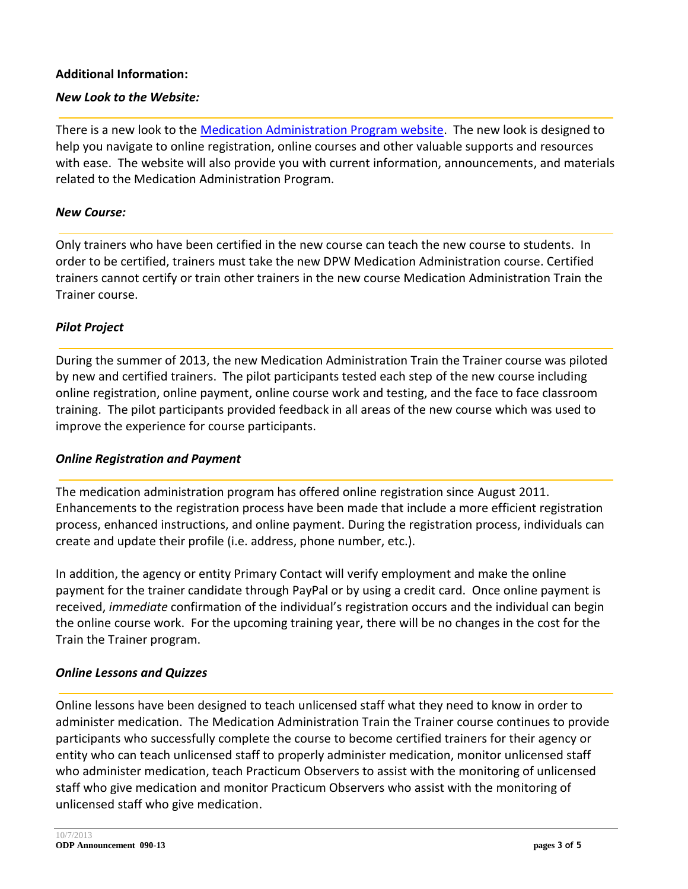#### **Additional Information:**

#### *New Look to the Website:*

There is a new look to the [Medication Administration Program website.](http://medsadmin.tiu11.org/) The new look is designed to help you navigate to online registration, online courses and other valuable supports and resources with ease. The website will also provide you with current information, announcements, and materials related to the Medication Administration Program.

#### *New Course:*

Only trainers who have been certified in the new course can teach the new course to students. In order to be certified, trainers must take the new DPW Medication Administration course. Certified trainers cannot certify or train other trainers in the new course Medication Administration Train the Trainer course.

#### *Pilot Project*

During the summer of 2013, the new Medication Administration Train the Trainer course was piloted by new and certified trainers. The pilot participants tested each step of the new course including online registration, online payment, online course work and testing, and the face to face classroom training. The pilot participants provided feedback in all areas of the new course which was used to improve the experience for course participants.

#### *Online Registration and Payment*

The medication administration program has offered online registration since August 2011. Enhancements to the registration process have been made that include a more efficient registration process, enhanced instructions, and online payment. During the registration process, individuals can create and update their profile (i.e. address, phone number, etc.).

In addition, the agency or entity Primary Contact will verify employment and make the online payment for the trainer candidate through PayPal or by using a credit card. Once online payment is received, *immediate* confirmation of the individual's registration occurs and the individual can begin the online course work. For the upcoming training year, there will be no changes in the cost for the Train the Trainer program.

#### *Online Lessons and Quizzes*

Online lessons have been designed to teach unlicensed staff what they need to know in order to administer medication. The Medication Administration Train the Trainer course continues to provide participants who successfully complete the course to become certified trainers for their agency or entity who can teach unlicensed staff to properly administer medication, monitor unlicensed staff who administer medication, teach Practicum Observers to assist with the monitoring of unlicensed staff who give medication and monitor Practicum Observers who assist with the monitoring of unlicensed staff who give medication.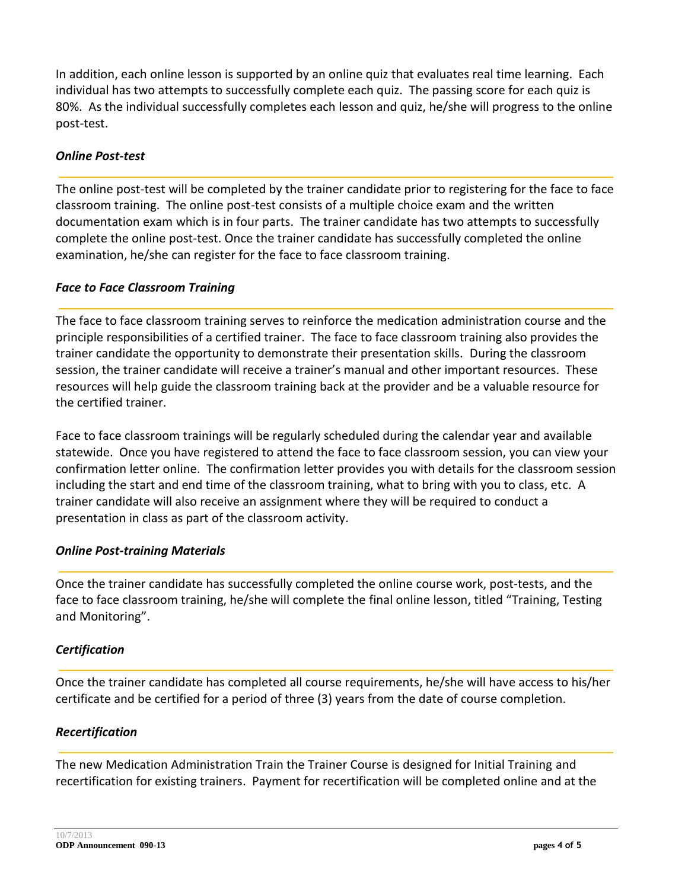In addition, each online lesson is supported by an online quiz that evaluates real time learning. Each individual has two attempts to successfully complete each quiz. The passing score for each quiz is 80%. As the individual successfully completes each lesson and quiz, he/she will progress to the online post-test.

#### *Online Post-test*

The online post-test will be completed by the trainer candidate prior to registering for the face to face classroom training. The online post-test consists of a multiple choice exam and the written documentation exam which is in four parts. The trainer candidate has two attempts to successfully complete the online post-test. Once the trainer candidate has successfully completed the online examination, he/she can register for the face to face classroom training.

#### *Face to Face Classroom Training*

The face to face classroom training serves to reinforce the medication administration course and the principle responsibilities of a certified trainer. The face to face classroom training also provides the trainer candidate the opportunity to demonstrate their presentation skills. During the classroom session, the trainer candidate will receive a trainer's manual and other important resources. These resources will help guide the classroom training back at the provider and be a valuable resource for the certified trainer.

Face to face classroom trainings will be regularly scheduled during the calendar year and available statewide. Once you have registered to attend the face to face classroom session, you can view your confirmation letter online. The confirmation letter provides you with details for the classroom session including the start and end time of the classroom training, what to bring with you to class, etc. A trainer candidate will also receive an assignment where they will be required to conduct a presentation in class as part of the classroom activity.

#### *Online Post-training Materials*

Once the trainer candidate has successfully completed the online course work, post-tests, and the face to face classroom training, he/she will complete the final online lesson, titled "Training, Testing and Monitoring".

#### *Certification*

Once the trainer candidate has completed all course requirements, he/she will have access to his/her certificate and be certified for a period of three (3) years from the date of course completion.

#### *Recertification*

The new Medication Administration Train the Trainer Course is designed for Initial Training and recertification for existing trainers. Payment for recertification will be completed online and at the